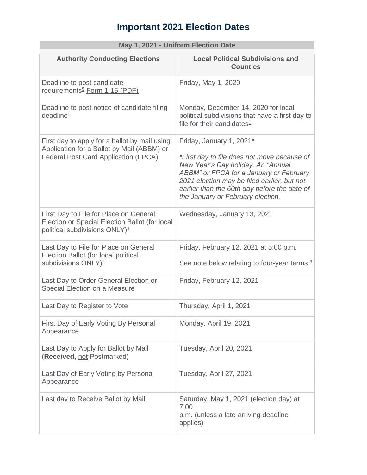## **Important 2021 Election Dates**

| <b>May 1, 2021 - UNITORIA Election Date</b>                                                                                           |                                                                                                                                                                                                                                                                                              |
|---------------------------------------------------------------------------------------------------------------------------------------|----------------------------------------------------------------------------------------------------------------------------------------------------------------------------------------------------------------------------------------------------------------------------------------------|
| <b>Authority Conducting Elections</b>                                                                                                 | <b>Local Political Subdivisions and</b><br><b>Counties</b>                                                                                                                                                                                                                                   |
| Deadline to post candidate<br>requirements <sup>5</sup> Form 1-15 (PDF)                                                               | Friday, May 1, 2020                                                                                                                                                                                                                                                                          |
| Deadline to post notice of candidate filing<br>deadline <sup>1</sup>                                                                  | Monday, December 14, 2020 for local<br>political subdivisions that have a first day to<br>file for their candidates $1$                                                                                                                                                                      |
| First day to apply for a ballot by mail using<br>Application for a Ballot by Mail (ABBM) or<br>Federal Post Card Application (FPCA).  | Friday, January 1, 2021*<br>*First day to file does not move because of<br>New Year's Day holiday. An "Annual<br>ABBM" or FPCA for a January or February<br>2021 election may be filed earlier, but not<br>earlier than the 60th day before the date of<br>the January or February election. |
| First Day to File for Place on General<br>Election or Special Election Ballot (for local<br>political subdivisions ONLY) <sup>1</sup> | Wednesday, January 13, 2021                                                                                                                                                                                                                                                                  |
| Last Day to File for Place on General<br>Election Ballot (for local political<br>subdivisions ONLY) <sup>2</sup>                      | Friday, February 12, 2021 at 5:00 p.m.<br>See note below relating to four-year terms 3                                                                                                                                                                                                       |
| Last Day to Order General Election or<br>Special Election on a Measure                                                                | Friday, February 12, 2021                                                                                                                                                                                                                                                                    |
| Last Day to Register to Vote                                                                                                          | Thursday, April 1, 2021                                                                                                                                                                                                                                                                      |
| First Day of Early Voting By Personal<br>Appearance                                                                                   | Monday, April 19, 2021                                                                                                                                                                                                                                                                       |
| Last Day to Apply for Ballot by Mail<br>(Received, not Postmarked)                                                                    | Tuesday, April 20, 2021                                                                                                                                                                                                                                                                      |
| Last Day of Early Voting by Personal<br>Appearance                                                                                    | Tuesday, April 27, 2021                                                                                                                                                                                                                                                                      |
| Last day to Receive Ballot by Mail                                                                                                    | Saturday, May 1, 2021 (election day) at<br>7:00<br>p.m. (unless a late-arriving deadline<br>applies)                                                                                                                                                                                         |

## **May 1, 2021 - Uniform Election Date**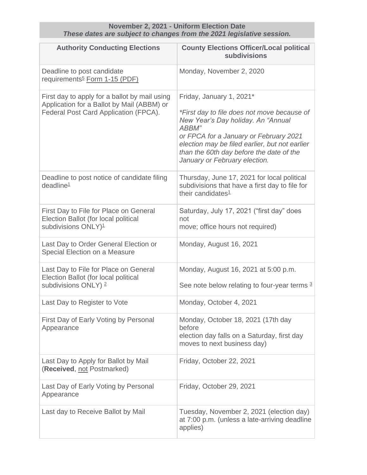| These dates are subject to changes from the 2021 legislative session.                                                                |                                                                                                                                                                                                                                                                                                 |
|--------------------------------------------------------------------------------------------------------------------------------------|-------------------------------------------------------------------------------------------------------------------------------------------------------------------------------------------------------------------------------------------------------------------------------------------------|
| <b>Authority Conducting Elections</b>                                                                                                | <b>County Elections Officer/Local political</b><br>subdivisions                                                                                                                                                                                                                                 |
| Deadline to post candidate<br>requirements <sup>5</sup> Form 1-15 (PDF)                                                              | Monday, November 2, 2020                                                                                                                                                                                                                                                                        |
| First day to apply for a ballot by mail using<br>Application for a Ballot by Mail (ABBM) or<br>Federal Post Card Application (FPCA). | Friday, January 1, 2021*<br>*First day to file does not move because of<br>New Year's Day holiday. An "Annual<br>ABBM"<br>or FPCA for a January or February 2021<br>election may be filed earlier, but not earlier<br>than the 60th day before the date of the<br>January or February election. |
| Deadline to post notice of candidate filing<br>deadline <sup>1</sup>                                                                 | Thursday, June 17, 2021 for local political<br>subdivisions that have a first day to file for<br>their candidates <sup>1</sup>                                                                                                                                                                  |
| First Day to File for Place on General<br>Election Ballot (for local political<br>subdivisions ONLY) <sup>1</sup>                    | Saturday, July 17, 2021 ("first day" does<br>not<br>move; office hours not required)                                                                                                                                                                                                            |
| Last Day to Order General Election or<br>Special Election on a Measure                                                               | Monday, August 16, 2021                                                                                                                                                                                                                                                                         |
| Last Day to File for Place on General<br>Election Ballot (for local political<br>subdivisions ONLY) <sup>2</sup>                     | Monday, August 16, 2021 at 5:00 p.m.<br>See note below relating to four-year terms 3                                                                                                                                                                                                            |
| Last Day to Register to Vote                                                                                                         | Monday, October 4, 2021                                                                                                                                                                                                                                                                         |
| First Day of Early Voting by Personal<br>Appearance                                                                                  | Monday, October 18, 2021 (17th day<br>before<br>election day falls on a Saturday, first day<br>moves to next business day)                                                                                                                                                                      |
| Last Day to Apply for Ballot by Mail<br>(Received, not Postmarked)                                                                   | Friday, October 22, 2021                                                                                                                                                                                                                                                                        |
| Last Day of Early Voting by Personal<br>Appearance                                                                                   | Friday, October 29, 2021                                                                                                                                                                                                                                                                        |
| Last day to Receive Ballot by Mail                                                                                                   | Tuesday, November 2, 2021 (election day)<br>at 7:00 p.m. (unless a late-arriving deadline<br>applies)                                                                                                                                                                                           |

**November 2, 2021 - Uniform Election Date**